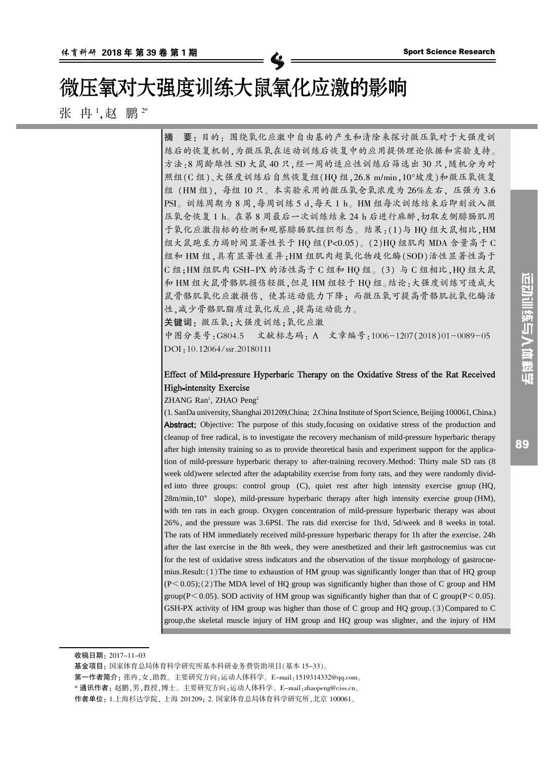# 微压氧对大强度训练大鼠氧化应激的影响

张 冉 ',赵 鹏 <del>'</del>\*

摘 要院 目的院 围绕氧化应激中自由基的产生和清除来探讨微压氧对于大强度训 练后的恢复机制,为微压氧在运动训练后恢复中的应用提供理论依据和实验支持。 方法:8 周龄雄性 SD 大鼠 40 只, 经一周的适应性训练后筛选出 30 只, 随机分为对 照组(C组)、大强度训练后自然恢复组(HO组,26.8 m/min,10°坡度)和微压氧恢复 组 (HM 组), 每组 10 只。本实验采用的微压氧仓氧浓度为 26%左右, 压强为 3.6 PSI。训练周期为 8 周,每周训练 5 d,每天 1 h。HM 组每次训练结束后即刻放入微 压氧仓恢复 1 h。在第 8 周最后一次训练结束 24 h 后进行麻醉, 切取左侧腓肠肌用 于氧化应激指标的检测和观察腓肠肌组织形态。结果:(1)与 HQ 组大鼠相比, HM 组大鼠跑至力竭时间显著性长于 HQ 组(P<0.05)。(2)HQ 组肌肉 MDA 含量高于 C 组和 HM 组,具有显著性差异; HM 组肌肉超氧化物歧化酶(SOD)活性显著性高于  $C$  组: HM 组肌肉 GSH-PX 的活性高于  $C$  组和 HO 组。(3) 与  $C$  组相比, HO 组大鼠 和 HM 组大鼠骨骼肌损伤轻微,但是 HM 组轻于 HQ 组。结论:大强度训练可造成大 鼠骨骼肌氧化应激损伤,使其运动能力下降;而微压氧可提高骨骼肌抗氧化酶活 性,减少骨骼肌脂质过氧化反应,提高运动能力。

关键词: 微压氧;大强度训练;氧化应激

中图分类号:G804.5 文献标志码: A 文章编号:1006-1207(2018)01-0089-05 DOI: 10.12064/ssr.20180111

### Effect of Mild-pressure Hyperbaric Therapy on the Oxidative Stress of the Rat Received **High-intensity Exercise**

ZHANG Ran<sup>1</sup>, ZHAO Peng<sup>2</sup>

(1. SanDa university, Shanghai 201209,China; 2.China Institute of Sport Science, Beijing 100061,China.) **Abstract:** Objective: The purpose of this study, focusing on oxidative stress of the production and cleanup of free radical, is to investigate the recovery mechanism of mild-pressure hyperbaric therapy after high intensity training so as to provide theoretical basis and experiment support for the application of mild-pressure hyperbaric therapy to after-training recovery.Method: Thirty male SD rats (8 week old)were selected after the adaptability exercise from forty rats, and they were randomly divided into three groups: control group (C), quiet rest after high intensity exercise group (HQ, 28m/min,10° slope), mild-pressure hyperbaric therapy after high intensity exercise group (HM), with ten rats in each group. Oxygen concentration of mild-pressure hyperbaric therapy was about 26%, and the pressure was 3.6PSI. The rats did exercise for 1h/d, 5d/week and 8 weeks in total. The rats of HM immediately received mild-pressure hyperbaric therapy for 1h after the exercise. 24h after the last exercise in the 8th week, they were anesthetized and their left gastrocnemius was cut for the test of oxidative stress indicators and the observation of the tissue morphology of gastrocnemius.Result: $(1)$ The time to exhaustion of HM group was significantly longer than that of HQ group  $(P< 0.05)$ ; (2) The MDA level of HQ group was significantly higher than those of C group and HM group( $P \le 0.05$ ). SOD activity of HM group was significantly higher than that of C group( $P \le 0.05$ ). GSH-PX activity of HM group was higher than those of C group and HQ group. $(3)$ Compared to C group,the skeletal muscle injury of HM group and HQ group was slighter, and the injury of HM

89

收稿日期: 2017-11-03

基金项目:国家体育总局体育科学研究所基本科研业务费资助项目(基本 15-33)。

第一作者简介: 张冉,女,助教。主要研究方向:运动人体科学。E-mail:1519314332@qq.com。

<sup>\*</sup> 通讯作者: 赵鹏,男,教授,博士。主要研究方向:运动人体科学。E-mail:zhaopeng@ciss.cn。

作者单位: 1.上海杉达学院, 上海 201209; 2. 国家体育总局体育科学研究所, 北京 100061。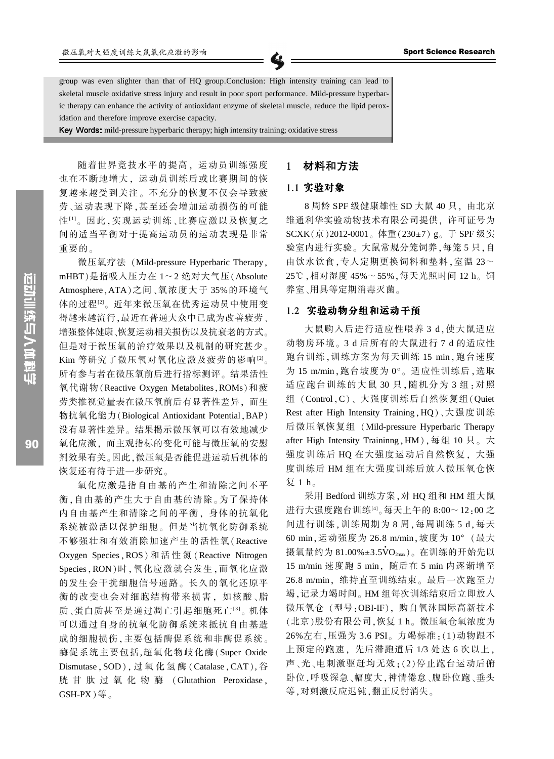group was even slighter than that of HQ group.Conclusion: High intensity training can lead to skeletal muscle oxidative stress injury and result in poor sport performance. Mild-pressure hyperbaric therapy can enhance the activity of antioxidant enzyme of skeletal muscle, reduce the lipid peroxidation and therefore improve exercise capacity.

Key Words: mild-pressure hyperbaric therapy; high intensity training; oxidative stress

随着世界竞技水平的提高, 运动员训练强度 也在不断地增大,运动员训练后或比赛期间的恢 复越来越受到关注。不充分的恢复不仅会导致疲 劳、运动表现下降,甚至还会增加运动损伤的可能 性[1]。因此,实现运动训练、比赛应激以及恢复之 间的适当平衡对于提高运动员的运动表现是非常 重要的。

微压氧疗法 (Mild-pressure Hyperbaric Therapy, mHBT)是指吸入压力在  $1 \sim 2$  绝对大气压 $($  Absolute Atmosphere, ATA)之间、氧浓度大于 35%的环境气 体的过程[2]。近年来微压氧在优秀运动员中使用变 得越来越流行,最近在普通大众中已成为改善疲劳、 增强整体健康、恢复运动相关损伤以及抗衰老的方式。 但是对于微压氧的治疗效果以及机制的研究甚少。 Kim 等研究了微压氧对氧化应激及疲劳的影响[2]。 所有参与者在微压氧前后进行指标测评。结果活性 氧代谢物 (Reactive Oxygen Metabolites, ROMs)和疲 劳类推视觉量表在微压氧前后有显著性差异,而生 物抗氧化能力(Biological Antioxidant Potential, BAP) 没有显著性差异。结果揭示微压氧可以有效地减少 氧化应激,而主观指标的变化可能与微压氧的安慰 剂效果有关。因此,微压氧是否能促进运动后机体的 恢复还有待于进一步研究。

氧化应激是指自由基的产生和清除之间不平 衡,自由基的产生大于自由基的清除。为了保持体 内自由基产生和清除之间的平衡。身体的抗氧化 系统被激活以保护细胞。但是当抗氧化防御系统 不够强壮和有效消除加速产生的活性氧(Reactive Oxygen Species, ROS) 和 活 性 氮 (Reactive Nitrogen Species, RON)时, 氧化应激就会发生, 而氧化应激 的发生会干扰细胞信号通路。长久的氧化还原平 衡的改变也会对细胞结构带来损害。如核酸、脂 质、蛋白质甚至是通过凋亡引起细胞死亡[3]。机体 可以通过自身的抗氧化防御系统来抵抗自由基造 成的细胞损伤,主要包括酶促系统和非酶促系统。 酶促系统主要包括,超氧化物歧化酶(Super Oxide Dismutase, SOD), 过氧化氢酶 (Catalase, CAT), 谷 胱 甘 肽 过 氧 化 物 酶 (Glutathion Peroxidase, GSH-PX $)$ 等。

#### 材料和方法  $\mathbf{1}$

### 1.1 实验对象

8 周龄 SPF 级健康雄性 SD 大鼠 40 只, 由北京 维通利华实验动物技术有限公司提供, 许可证号为  $SCXK(\bar{\pi})$  2012-0001。体重(230±7)g。于 SPF 级实 验室内进行实验。大鼠常规分笼饲养,每笼 5 只,自 由饮水饮食,专人定期更换饲料和垫料,室温 23~ 25℃,相对湿度 45%~ 55%,每天光照时间 12 h。饲 养室、用具等定期消毒灭菌。

#### 1.2 实验动物分组和运动干预

大鼠购入后进行适应性喂养 3 d. 使大鼠适应 动物房环境。3 d 后所有的大鼠进行 7 d 的适应性 跑台训练,训练方案为每天训练 15 min,跑台速度 为 15 m/min, 跑台坡度为 0°。适应性训练后, 选取 适应跑台训练的大鼠 30 只,随机分为 3 组:对照 组 (Control, C)、大强度训练后自然恢复组(Quiet Rest after High Intensity Training, HQ)、大强度训练 后微压氧恢复组 (Mild-pressure Hyperbaric Therapy after High Intensity Traininng, HM), 每组 10 只。大 强度训练后 HQ 在大强度运动后自然恢复, 大强 度训练后 HM 组在大强度训练后放入微压氧仓恢 复 1 h。

采用 Bedford 训练方案, 对 HQ 组和 HM 组大鼠 进行大强度跑台训练[4]。每天上午的 8:00~12:00 之 间进行训练,训练周期为 8 周,每周训练 5 d,每天 60 min, 运动强度为 26.8 m/min, 坡度为 10° (最大 摄氧量约为 81.00%±3.5 $\rm{\dot{V}O}_{2\text{max}}$ )。在训练的开始先以 15 m/min 速度跑 5 min, 随后在 5 min 内逐渐增至 26.8 m/min, 维持直至训练结束。最后一次跑至力 竭,记录力竭时间。HM 组每次训练结束后立即放入 微压氧仓 (型号:OBI-IF), 购自氧沐国际高新技术 (北京)股份有限公司,恢复 1 h。微压氧仓氧浓度为 26%左右, 压强为 3.6 PSI。力竭标准: (1)动物跟不 上预定的跑速,先后滞跑道后 1/3 处达 6 次以上, 声、光、电刺激驱赶均无效;(2)停止跑台运动后俯 卧位,呼吸深急、幅度大,神情倦怠、腹卧位跑、垂头 等,对刺激反应迟钝,翻正反射消失。

90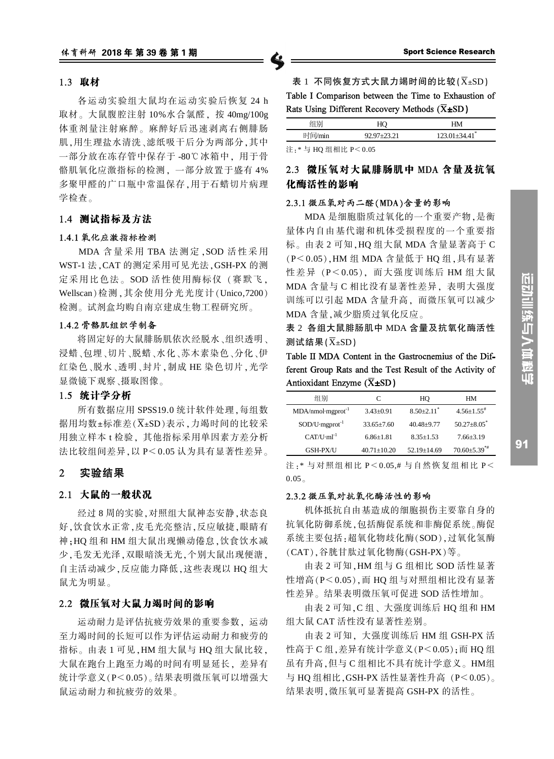#### 1.3 取材

各运动实验组大鼠均在运动实验后恢复 24 h 取材。大鼠腹腔注射 10%水合氯醛, 按 40mg/100g 体重剂量注射麻醉。麻醉好后迅速剥离右侧腓肠 肌,用生理盐水清洗、滤纸吸干后分为两部分,其中 一部分放在冻存管中保存于 -80℃ 冰箱中, 用于骨 骼肌氧化应激指标的检测,一部分放置于盛有 4% 多聚甲醛的广口瓶中常温保存,用于石蜡切片病理 学检查。

### 1.4 测试指标及方法

#### 1.4.1 氧化应激指标检测

MDA 含量采用 TBA 法测定, SOD 活性采用 WST-1 法, CAT 的测定采用可见光法, GSH-PX 的测 定采用比色法。SOD 活性使用酶标仪(赛默飞, Wellscan)检测, 其余使用分光光度计(Unico,7200) 检测。试剂盒均购自南京建成生物工程研究所。

### 1.4.2 骨骼肌组织学制备

将固定好的大鼠腓肠肌依次经脱水、组织透明、 浸蜡、包埋、切片、脱蜡、水化、苏木素染色、分化、伊 红染色、脱水、透明、封片, 制成 HE 染色切片, 光学 显微镜下观察、摄取图像。

### 1.5 统计学分析

所有数据应用 SPSS19.0 统计软件处理, 每组数 据用均数±标准差(X±SD)表示,力竭时间的比较采 用独立样本 t 检验, 其他指标采用单因素方差分析 法比较组间差异, 以 P< 0.05 认为具有显著性差异。

#### $\overline{2}$ 实验结果

# 2.1 大鼠的一般状况

经过8周的实验,对照组大鼠神态安静,状态良 好,饮食饮水正常,皮毛光亮整洁,反应敏捷,眼睛有 神:HO 组和 HM 组大鼠出现懒动倦怠,饮食饮水减 少,毛发无光泽,双眼暗淡无光,个别大鼠出现便溏, 自主活动减少,反应能力降低,这些表现以 HO 组大 鼠尤为明显。

#### 2.2 微压氧对大鼠力竭时间的影响

运动耐力是评估抗疲劳效果的重要参数,运动 至力竭时间的长短可以作为评估运动耐力和疲劳的 指标。由表 1 可见, HM 组大鼠与 HO 组大鼠比较, 大鼠在跑台上跑至力竭的时间有明显延长,差异有 统计学意义(P<0.05)。结果表明微压氧可以增强大 鼠运动耐力和抗疲劳的效果。

Table I Comparison between the Time to Exhaustion of Rats Using Different Recovery Methods ( $\overline{X}$ ±SD)

|                                                             | HO              | HМ                              |  |  |
|-------------------------------------------------------------|-----------------|---------------------------------|--|--|
| 时间/min                                                      | $92.97 + 23.21$ | $123.01 \pm 34.41$ <sup>*</sup> |  |  |
| $\Delta$ In the set of the state of $\Delta$ , and $\Delta$ |                 |                                 |  |  |

注 · \* 与 HO 组相比 P< 0.05

# 2.3 微压氧对大鼠腓肠肌中 MDA 含量及抗氧 化酶活性的影响

## 2.3.1 微压氧对丙二醛(MDA)含量的影响

MDA 是细胞脂质过氧化的一个重要产物,是衡 量体内自由基代谢和机体受损程度的一个重要指 标。由表 2 可知, HQ 组大鼠 MDA 含量显著高于 C (P<0.05), HM 组 MDA 含量低于 HQ 组, 具有显著 性差异 (P<0.05), 而大强度训练后 HM 组大鼠 MDA 含量与 C 相比没有显著性差异, 表明大强度 训练可以引起 MDA 含量升高, 而微压氧可以减少 MDA 含量,减少脂质过氧化反应。

表 2 各组大鼠腓肠肌中 MDA 含量及抗氧化酶活性 测试结果 $(\overline{X}$ ±SD)

Table II MDA Content in the Gastrocnemius of the Different Group Rats and the Test Result of the Activity of Antioxidant Enzyme  $(\overline{X} \pm SD)$ 

| 组别                            | C                 | HO                         | HМ                             |
|-------------------------------|-------------------|----------------------------|--------------------------------|
| $MDA/nmol·mgprot-1$           | $3.43 + 0.91$     | $8.50 + 2.11$ <sup>*</sup> | $4.56 + 1.55$ <sup>#</sup>     |
| $SOD/U$ -mgprot <sup>-1</sup> | $33.65 + 7.60$    | $40.48 + 9.77$             | $50.27 + 8.05^*$               |
| $CAT/ U·ml-1$                 | $6.86 + 1.81$     | $8.35 + 1.53$              | $7.66 + 3.19$                  |
| <b>GSH-PX/U</b>               | $40.71 \pm 10.20$ | $52.19 \pm 14.69$          | $70.60 \pm 5.39$ <sup>**</sup> |

注: \* 与对照组相比 P<0.05.# 与自然恢复组相比 P<  $0.05<sub>o</sub>$ 

#### 2.3.2 微压氧对抗氧化酶活性的影响

机体抵抗自由基造成的细胞损伤主要靠自身的 抗氧化防御系统,包括酶促系统和非酶促系统。酶促 系统主要包括:超氧化物歧化酶(SOD),过氧化氢酶  $(CAT)$ , 谷胱甘肽过氧化物酶 $(GSH-PX)$ 等。

由表 2 可知, HM 组与 G 组相比 SOD 活性显著 性增高(P<0.05),而 HQ 组与对照组相比没有显著 性差异。结果表明微压氧可促进 SOD 活性增加。

由表 2 可知, C 组、大强度训练后 HQ 组和 HM 组大鼠 CAT 活性没有显著性差别。

由表 2 可知, 大强度训练后 HM 组 GSH-PX 活 性高于 C 组, 差异有统计学意义(P<0.05); 而 HQ 组 虽有升高,但与 C 组相比不具有统计学意义。HM组 与 HQ 组相比, GSH-PX 活性显著性升高  $(P < 0.05)$ 。 结果表明,微压氧可显著提高 GSH-PX 的活性。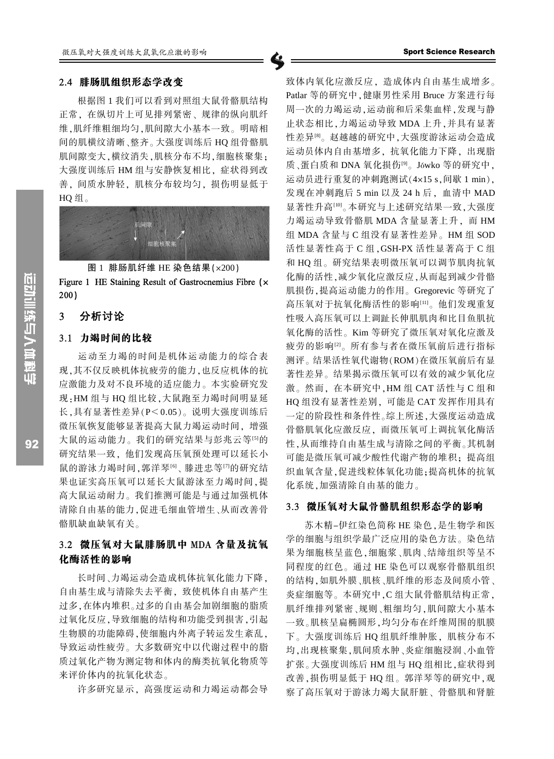#### 2.4 腓肠肌组织形态学改变

根据图 1 我们可以看到对照组大鼠骨骼肌结构 正常。在纵切片上可见排列紧密、规律的纵向肌纤 维,肌纤维粗细均匀,肌间隙大小基本一致。明暗相 间的肌横纹清晰、整齐。大强度训练后 HQ 组骨骼肌 肌间隙变大,横纹消失,肌核分布不均,细胞核聚集; 大强度训练后 HM 组与安静恢复相比, 症状得到改 善, 间质水肿轻, 肌核分布较均匀, 损伤明显低于  $HO$  组。



图 1 腓肠肌纤维 HE 染色结果 ( $\times$ 200)

Figure 1 HE Staining Result of Gastrocnemius Fibre (x  $200)$ 

#### 分析讨论  $\overline{3}$

### 3.1 力竭时间的比较

运动至力竭的时间是机体运动能力的综合表 现,其不仅反映机体抗疲劳的能力,也反应机体的抗 应激能力及对不良环境的适应能力。本实验研究发 现:HM组与 HQ组比较,大鼠跑至力竭时间明显延 长.具有显著性差异(P<0.05)。说明大强度训练后 微压氧恢复能够显著提高大鼠力竭运动时间,增强 大鼠的运动能力。我们的研究结果与彭兆云等[5]的 研究结果一致,他们发现高压氧预处理可以延长小 鼠的游泳力竭时间,郭洋琴<sup>[6]</sup>、滕进忠等<sup>[7]</sup>的研究结 果也证实高压氧可以延长大鼠游泳至力竭时间,提 高大鼠运动耐力。我们推测可能是与通过加强机体 清除自由基的能力,促进毛细血管增生、从而改善骨 骼肌缺血缺氧有关。

# 3.2 微压氧对大鼠腓肠肌中 MDA 含量及抗氧 化酶活性的影响

长时间、力竭运动会造成机体抗氧化能力下降, 自由基生成与清除失去平衡, 致使机体自由基产生 过多,在体内堆积。过多的自由基会加剧细胞的脂质 讨氧化反应, 导致细胞的结构和功能受到损害, 引起 生物膜的功能障碍,使细胞内外离子转运发生紊乱, 导致运动性疲劳。大多数研究中以代谢过程中的脂 质过氧化产物为测定物和体内的酶类抗氧化物质等 来评价体内的抗氧化状态。

许多研究显示。高强度运动和力竭运动都会导

致体内氧化应激反应、造成体内自由基生成增多。 Patlar 等的研究中,健康男性采用 Bruce 方案进行每 周一次的力竭运动,运动前和后采集血样,发现与静 止状态相比,力竭运动导致 MDA 上升,并具有显著 性差异图。赵越越的研究中,大强度游泳运动会造成 运动员体内自由基增多, 抗氧化能力下降, 出现脂 质、蛋白质和 DNA 氧化损伤[9]。 Jówko 等的研究中, 运动员进行重复的冲刺跑测试(4x15 s,间歇 1 min), 发现在冲刺跑后 5 min 以及 24 h 后, 血清中 MAD 显著性升高[10]。本研究与上述研究结果一致,大强度 力竭运动导致骨骼肌 MDA 含量显著上升, 而 HM 组 MDA 含量与 C 组没有显著性差异。HM 组 SOD 活性显著性高于 C 组, GSH-PX 活性显著高于 C 组 和 HQ 组。研究结果表明微压氧可以调节肌肉抗氧 化酶的活性,减少氧化应激反应,从而起到减少骨骼 肌损伤,提高运动能力的作用。Gregorevic 等研究了 高压氧对于抗氧化酶活性的影响[11]。他们发现重复 性吸入高压氧可以上调趾长伸肌肌肉和比目鱼肌抗 氧化酶的活性。Kim 等研究了微压氧对氧化应激及 疲劳的影响[2]。所有参与者在微压氧前后进行指标 测评。结果活性氧代谢物(ROM)在微压氧前后有显 著性差异。结果揭示微压氧可以有效的减少氧化应 激。然而, 在本研究中, HM 组 CAT 活性与 C 组和 HO 组没有显著性差别, 可能是 CAT 发挥作用具有 一定的阶段性和条件性。综上所述,大强度运动造成 骨骼肌氧化应激反应、而微压氧可上调抗氧化酶活 性,从而维持自由基生成与清除之间的平衡。其机制 可能是微压氧可减少酸性代谢产物的堆积: 提高组 织血氧含量,促进线粒体氧化功能;提高机体的抗氧 化系统,加强清除自由基的能力。

#### 3.3 微压氧对大鼠骨骼肌组织形态学的影响

苏木精-伊红染色简称 HE 染色, 是生物学和医 学的细胞与组织学最广泛应用的染色方法。染色结 果为细胞核呈蓝色,细胞浆、肌肉、结缔组织等呈不 同程度的红色。通过 HE 染色可以观察骨骼肌组织 的结构,如肌外膜、肌核、肌纤维的形态及间质小管、 炎症细胞等。本研究中,C组大鼠骨骼肌结构正常, 肌纤维排列紧密、规则、粗细均匀,肌间隙大小基本 一致。肌核呈扁椭圆形,均匀分布在纤维周围的肌膜 下。大强度训练后 HO 组肌纤维肿胀, 肌核分布不 均,出现核聚集,肌间质水肿、炎症细胞浸润、小血管 扩张。大强度训练后 HM 组与 HQ 组相比,症状得到 改善,损伤明显低于 HQ 组。郭洋琴等的研究中,观 察了高压氧对于游泳力竭大鼠肝脏、骨骼肌和肾脏